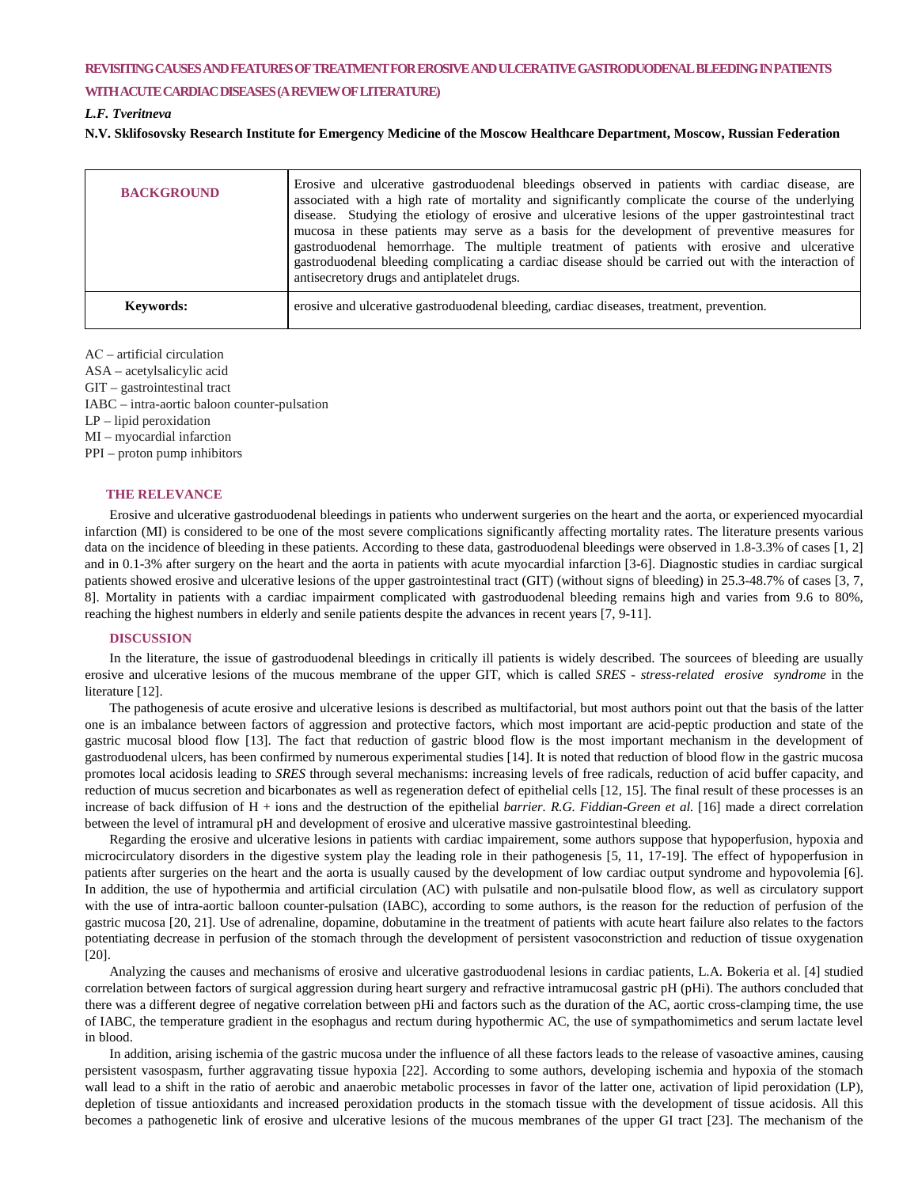# **REVISITING CAUSES AND FEATURES OF TREATMENT FOR EROSIVE AND ULCERATIVE GASTRODUODENAL BLEEDING IN PATIENTS**

#### **WITH ACUTE CARDIAC DISEASES (A REVIEW OF LITERATURE)**

## *L.F. Tveritneva*

**N.V. Sklifosovsky Research Institute for Emergency Medicine of the Moscow Healthcare Department, Moscow, Russian Federation**

| <b>BACKGROUND</b> | Erosive and ulcerative gastroduodenal bleedings observed in patients with cardiac disease, are<br>associated with a high rate of mortality and significantly complicate the course of the underlying<br>disease. Studying the etiology of erosive and ulcerative lesions of the upper gastrointestinal tract<br>mucosa in these patients may serve as a basis for the development of preventive measures for<br>gastroduodenal hemorrhage. The multiple treatment of patients with erosive and ulcerative<br>gastroduodenal bleeding complicating a cardiac disease should be carried out with the interaction of<br>antisecretory drugs and antiplatelet drugs. |
|-------------------|------------------------------------------------------------------------------------------------------------------------------------------------------------------------------------------------------------------------------------------------------------------------------------------------------------------------------------------------------------------------------------------------------------------------------------------------------------------------------------------------------------------------------------------------------------------------------------------------------------------------------------------------------------------|
| <b>Keywords:</b>  | erosive and ulcerative gastroduodenal bleeding, cardiac diseases, treatment, prevention.                                                                                                                                                                                                                                                                                                                                                                                                                                                                                                                                                                         |

AС – artificial circulation

ASA – acetylsalicylic acid GIT – gastrointestinal tract IABC – intra-aortic baloon counter-pulsation LP – lipid peroxidation MI – myocardial infarction PPI – proton pump inhibitors

## **THE RELEVANCE**

Erosive and ulcerative gastroduodenal bleedings in patients who underwent surgeries on the heart and the aorta, or experienced myocardial infarction (MI) is considered to be one of the most severe complications significantly affecting mortality rates. The literature presents various data on the incidence of bleeding in these patients. According to these data, gastroduodenal bleedings were observed in 1.8-3.3% of cases [1, 2] and in 0.1-3% after surgery on the heart and the aorta in patients with acute myocardial infarction [3-6]. Diagnostic studies in cardiac surgical patients showed erosive and ulcerative lesions of the upper gastrointestinal tract (GIT) (without signs of bleeding) in 25.3-48.7% of cases [3, 7, 8]. Mortality in patients with a cardiac impairment complicated with gastroduodenal bleeding remains high and varies from 9.6 to 80%, reaching the highest numbers in elderly and senile patients despite the advances in recent years [7, 9-11].

#### **DISCUSSION**

In the literature, the issue of gastroduodenal bleedings in critically ill patients is widely described. The sourcees of bleeding are usually erosive and ulcerative lesions of the mucous membrane of the upper GIT, which is called *SRES - stress*-*related erosive syndrome* in the literature [12].

The pathogenesis of acute erosive and ulcerative lesions is described as multifactorial, but most authors point out that the basis of the latter one is an imbalance between factors of aggression and protective factors, which most important are acid-peptic production and state of the gastric mucosal blood flow [13]. The fact that reduction of gastric blood flow is the most important mechanism in the development of gastroduodenal ulcers, has been confirmed by numerous experimental studies [14]. It is noted that reduction of blood flow in the gastric mucosa promotes local acidosis leading to *SRES* through several mechanisms: increasing levels of free radicals, reduction of acid buffer capacity, and reduction of mucus secretion and bicarbonates as well as regeneration defect of epithelial cells [12, 15]. The final result of these processes is an increase of back diffusion of H + ions and the destruction of the epithelial *barrier. R.G. Fiddian-Green et al.* [16] made a direct correlation between the level of intramural pH and development of erosive and ulcerative massive gastrointestinal bleeding.

Regarding the erosive and ulcerative lesions in patients with cardiac impairement, some authors suppose that hypoperfusion, hypoxia and microcirculatory disorders in the digestive system play the leading role in their pathogenesis [5, 11, 17-19]. The effect of hypoperfusion in patients after surgeries on the heart and the aorta is usually caused by the development of low cardiac output syndrome and hypovolemia [6]. In addition, the use of hypothermia and artificial circulation (AC) with pulsatile and non-pulsatile blood flow, as well as circulatory support with the use of intra-aortic balloon counter-pulsation (IABC), according to some authors, is the reason for the reduction of perfusion of the gastric mucosa [20, 21]. Use of adrenaline, dopamine, dobutamine in the treatment of patients with acute heart failure also relates to the factors potentiating decrease in perfusion of the stomach through the development of persistent vasoconstriction and reduction of tissue oxygenation [20].

Analyzing the causes and mechanisms of erosive and ulcerative gastroduodenal lesions in cardiac patients, L.A. Bokeria et al. [4] studied correlation between factors of surgical aggression during heart surgery and refractive intramucosal gastric pH (pHi). The authors concluded that there was a different degree of negative correlation between pHi and factors such as the duration of the AC, aortic cross-clamping time, the use of IABC, the temperature gradient in the esophagus and rectum during hypothermic AC, the use of sympathomimetics and serum lactate level in blood.

In addition, arising ischemia of the gastric mucosa under the influence of all these factors leads to the release of vasoactive amines, causing persistent vasospasm, further aggravating tissue hypoxia [22]. According to some authors, developing ischemia and hypoxia of the stomach wall lead to a shift in the ratio of aerobic and anaerobic metabolic processes in favor of the latter one, activation of lipid peroxidation (LP), depletion of tissue antioxidants and increased peroxidation products in the stomach tissue with the development of tissue acidosis. All this becomes a pathogenetic link of erosive and ulcerative lesions of the mucous membranes of the upper GI tract [23]. The mechanism of the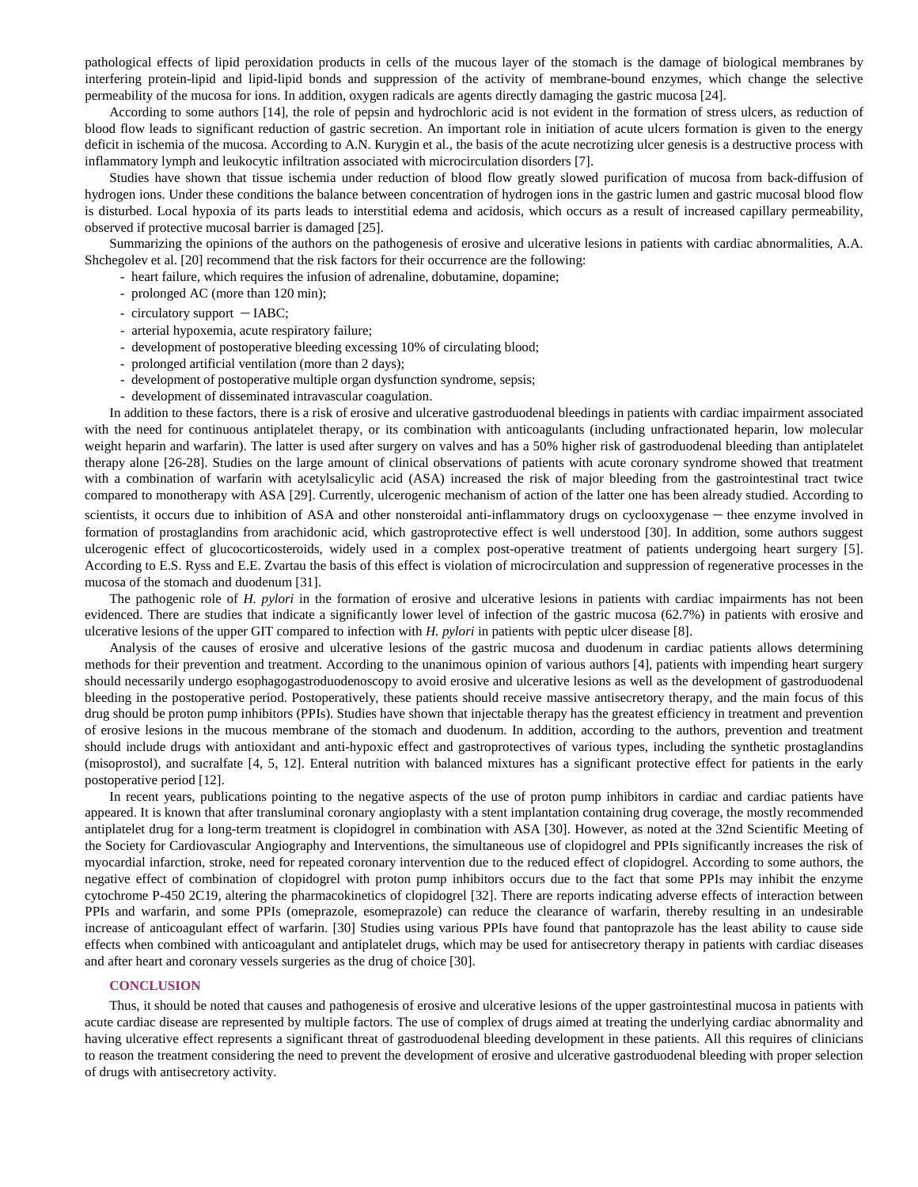pathological effects of lipid peroxidation products in cells of the mucous layer of the stomach is the damage of biological membranes by interfering protein-lipid and lipid-lipid bonds and suppression of the activity of membrane-bound enzymes, which change the selective permeability of the mucosa for ions. In addition, oxygen radicals are agents directly damaging the gastric mucosa [24].

According to some authors [14], the role of pepsin and hydrochloric acid is not evident in the formation of stress ulcers, as reduction of blood flow leads to significant reduction of gastric secretion. An important role in initiation of acute ulcers formation is given to the energy deficit in ischemia of the mucosa. According to A.N. Kurygin et al., the basis of the acute necrotizing ulcer genesis is a destructive process with inflammatory lymph and leukocytic infiltration associated with microcirculation disorders [7].

Studies have shown that tissue ischemia under reduction of blood flow greatly slowed purification of mucosa from back-diffusion of hydrogen ions. Under these conditions the balance between concentration of hydrogen ions in the gastric lumen and gastric mucosal blood flow is disturbed. Local hypoxia of its parts leads to interstitial edema and acidosis, which occurs as a result of increased capillary permeability, observed if protective mucosal barrier is damaged [25].

Summarizing the opinions of the authors on the pathogenesis of erosive and ulcerative lesions in patients with cardiac abnormalities, A.A. Shchegolev et al. [20] recommend that the risk factors for their occurrence are the following:

- heart failure, which requires the infusion of adrenaline, dobutamine, dopamine;
- prolonged AC (more than 120 min);
- circulatory support IABC;
- arterial hypoxemia, acute respiratory failure;
- development of postoperative bleeding excessing 10% of circulating blood;
- prolonged artificial ventilation (more than 2 days);
- development of postoperative multiple organ dysfunction syndrome, sepsis;
- development of disseminated intravascular coagulation.

In addition to these factors, there is a risk of erosive and ulcerative gastroduodenal bleedings in patients with cardiac impairment associated with the need for continuous antiplatelet therapy, or its combination with anticoagulants (including unfractionated heparin, low molecular weight heparin and warfarin). The latter is used after surgery on valves and has a 50% higher risk of gastroduodenal bleeding than antiplatelet therapy alone [26-28]. Studies on the large amount of clinical observations of patients with acute coronary syndrome showed that treatment with a combination of warfarin with acetylsalicylic acid (ASA) increased the risk of major bleeding from the gastrointestinal tract twice compared to monotherapy with ASA [29]. Currently, ulcerogenic mechanism of action of the latter one has been already studied. According to scientists, it occurs due to inhibition of ASA and other nonsteroidal anti-inflammatory drugs on cyclooxygenase – thee enzyme involved in formation of prostaglandins from arachidonic acid, which gastroprotective effect is well understood [30]. In addition, some authors suggest ulcerogenic effect of glucocorticosteroids, widely used in a complex post-operative treatment of patients undergoing heart surgery [5]. According to E.S. Ryss and E.E. Zvartau the basis of this effect is violation of microcirculation and suppression of regenerative processes in the mucosa of the stomach and duodenum [31].

The pathogenic role of *H. pylori* in the formation of erosive and ulcerative lesions in patients with cardiac impairments has not been evidenced. There are studies that indicate a significantly lower level of infection of the gastric mucosa (62.7%) in patients with erosive and ulcerative lesions of the upper GIT compared to infection with *H. pylori* in patients with peptic ulcer disease [8].

Analysis of the causes of erosive and ulcerative lesions of the gastric mucosa and duodenum in cardiac patients allows determining methods for their prevention and treatment. According to the unanimous opinion of various authors [4], patients with impending heart surgery should necessarily undergo esophagogastroduodenoscopy to avoid erosive and ulcerative lesions as well as the development of gastroduodenal bleeding in the postoperative period. Postoperatively, these patients should receive massive antisecretory therapy, and the main focus of this drug should be proton pump inhibitors (PPIs). Studies have shown that injectable therapy has the greatest efficiency in treatment and prevention of erosive lesions in the mucous membrane of the stomach and duodenum. In addition, according to the authors, prevention and treatment should include drugs with antioxidant and anti-hypoxic effect and gastroprotectives of various types, including the synthetic prostaglandins (misoprostol), and sucralfate [4, 5, 12]. Enteral nutrition with balanced mixtures has a significant protective effect for patients in the early postoperative period [12].

In recent years, publications pointing to the negative aspects of the use of proton pump inhibitors in cardiac and cardiac patients have appeared. It is known that after transluminal coronary angioplasty with a stent implantation containing drug coverage, the mostly recommended antiplatelet drug for a long-term treatment is clopidogrel in combination with ASA [30]. However, as noted at the 32nd Scientific Meeting of the Society for Cardiovascular Angiography and Interventions*,* the simultaneous use of clopidogrel and PPIs significantly increases the risk of myocardial infarction, stroke, need for repeated coronary intervention due to the reduced effect of clopidogrel. According to some authors, the negative effect of combination of clopidogrel with proton pump inhibitors occurs due to the fact that some PPIs may inhibit the enzyme cytochrome P-450 2C19, altering the pharmacokinetics of clopidogrel [32]. There are reports indicating adverse effects of interaction between PPIs and warfarin, and some PPIs (omeprazole, esomeprazole) can reduce the clearance of warfarin, thereby resulting in an undesirable increase of anticoagulant effect of warfarin. [30] Studies using various PPIs have found that pantoprazole has the least ability to cause side effects when combined with anticoagulant and antiplatelet drugs, which may be used for antisecretory therapy in patients with cardiac diseases and after heart and coronary vessels surgeries as the drug of choice [30].

### **CONCLUSION**

Thus, it should be noted that causes and pathogenesis of erosive and ulcerative lesions of the upper gastrointestinal mucosa in patients with acute cardiac disease are represented by multiple factors. The use of complex of drugs aimed at treating the underlying cardiac abnormality and having ulcerative effect represents a significant threat of gastroduodenal bleeding development in these patients. All this requires of clinicians to reason the treatment considering the need to prevent the development of erosive and ulcerative gastroduodenal bleeding with proper selection of drugs with antisecretory activity.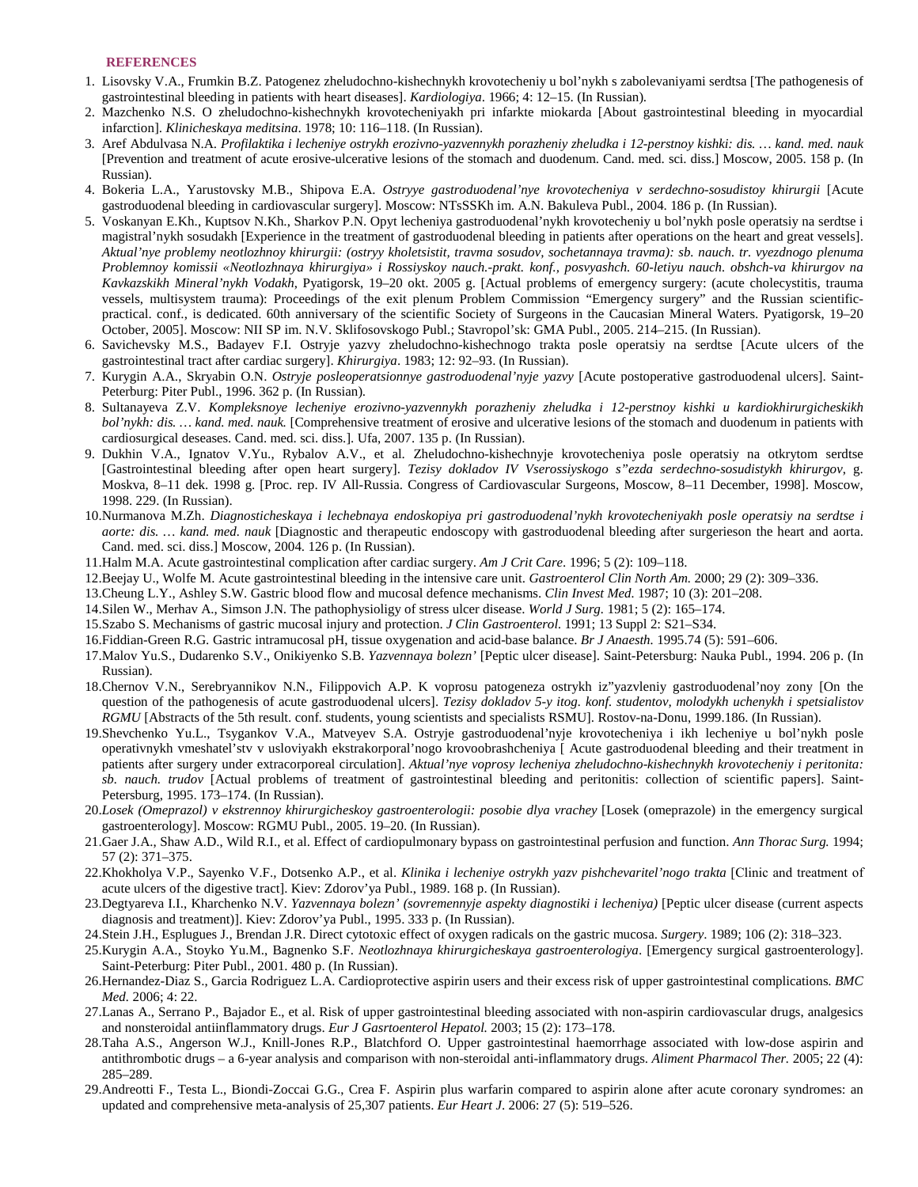### **REFERENCES**

- 1. Lisovsky V.A., Frumkin B.Z. Patogenez zheludochno-kishechnykh krovotecheniy u bol'nykh s zabolevaniyami serdtsa [The pathogenesis of gastrointestinal bleeding in patients with heart diseases]. *Kardiologiya*. 1966; 4: 12–15. (In Russian).
- 2. Mazchenko N.S. O zheludochno-kishechnykh krovotecheniyakh pri infarkte miokarda [About gastrointestinal bleeding in myocardial infarction]. *Klinicheskaya meditsina*. 1978; 10: 116–118. (In Russian).
- 3. Aref Abdulvasa N.A. *Profilaktika i lecheniye ostrykh erozivno-yazvennykh porazheniy zheludka i 12-perstnoy kishki: dis. … kand. med. nauk* [Prevention and treatment of acute erosive-ulcerative lesions of the stomach and duodenum. Cand. med. sci. diss.] Moscow, 2005. 158 p. (In Russian).
- 4. Bokeria L.A., Yarustovsky M.B., Shipova E.A. *Ostryye gastroduodenal'nye krovotecheniya v serdechno-sosudistoy khirurgii* [Acute gastroduodenal bleeding in cardiovascular surgery]. Moscow: NTsSSKh im. A.N. Bakuleva Publ., 2004. 186 p. (In Russian).
- 5. Voskanyan E.Kh., Kuptsov N.Kh., Sharkov P.N. Opyt lecheniya gastroduodenal'nykh krovotecheniy u bol'nykh posle operatsiy na serdtse i magistral'nykh sosudakh [Experience in the treatment of gastroduodenal bleeding in patients after operations on the heart and great vessels]. *Aktual'nye problemy neotlozhnoy khirurgii: (ostryy kholetsistit, travma sosudov, sochetannaya travma): sb. nauch. tr. vyezdnogo plenuma Problemnoy komissii «Neotlozhnaya khirurgiya» i Rossiyskoy nauch.-prakt. konf., posvyashch. 60-letiyu nauch. obshch-va khirurgov na Kavkazskikh Mineral'nykh Vodakh*, Pyatigorsk, 19–20 okt. 2005 g. [Actual problems of emergency surgery: (acute cholecystitis, trauma vessels, multisystem trauma): Proceedings of the exit plenum Problem Commission "Emergency surgery" and the Russian scientificpractical. conf., is dedicated. 60th anniversary of the scientific Society of Surgeons in the Caucasian Mineral Waters. Pyatigorsk, 19–20 October, 2005]. Moscow: NII SP im. N.V. Sklifosovskogo Publ.; Stavropol'sk: GMA Publ., 2005. 214–215. (In Russian).
- 6. Savichevsky M.S., Badayev F.I. Ostryje yazvy zheludochno-kishechnogo trakta posle operatsiy na serdtse [Acute ulcers of the gastrointestinal tract after cardiac surgery]. *Khirurgiya*. 1983; 12: 92–93. (In Russian).
- 7. Kurygin A.A., Skryabin O.N. *Ostryje posleoperatsionnye gastroduodenal'nyje yazvy* [Acute postoperative gastroduodenal ulcers]. Saint-Peterburg: Piter Publ., 1996. 362 p. (In Russian).
- 8. Sultanayeva Z.V. *Kompleksnoye lecheniye erozivno-yazvennykh porazheniy zheludka i 12-perstnoy kishki u kardiokhirurgicheskikh bol'nykh: dis. … kand. med. nauk.* [Comprehensive treatment of erosive and ulcerative lesions of the stomach and duodenum in patients with cardiosurgical deseases. Cand. med. sci. diss.]. Ufa, 2007. 135 p. (In Russian).
- 9. Dukhin V.A., Ignatov V.Yu., Rybalov A.V., et al. Zheludochno-kishechnyje krovotecheniya posle operatsiy na otkrytom serdtse [Gastrointestinal bleeding after open heart surgery]. *Tezisy dokladov IV Vserossiyskogo s"ezda serdechno-sosudistykh khirurgov*, g. Moskva, 8–11 dek. 1998 g. [Proc. rep. IV All-Russia. Congress of Cardiovascular Surgeons, Moscow, 8–11 December, 1998]. Moscow, 1998. 229. (In Russian).
- 10.Nurmanova M.Zh. *Diagnosticheskaya i lechebnaya endoskopiya pri gastroduodenal'nykh krovotecheniyakh posle operatsiy na serdtse i aorte: dis. … kand. med. nauk* [Diagnostic and therapeutic endoscopy with gastroduodenal bleeding after surgerieson the heart and aorta. Cand. med. sci. diss.] Moscow, 2004. 126 p. (In Russian).
- 11.Halm M.A. Acute gastrointestinal complication after cardiac surgery. *Am J Crit Care*. 1996; 5 (2): 109–118.
- 12.Beejay U., Wolfe M. Acute gastrointestinal bleeding in the intensive care unit. *Gastroenterol Clin North Am.* 2000; 29 (2): 309–336.
- 13.Cheung L.Y., Ashley S.W. Gastric blood flow and mucosal defence mechanisms. *Clin Invest Med.* 1987; 10 (3): 201–208.
- 14.Silen W., Merhav A., Simson J.N. The pathophysioligy of stress ulcer disease. *World J Surg.* 1981; 5 (2): 165–174.
- 15.Szabo S. Mechanisms of gastric mucosal injury and protection. *J Clin Gastroenterol.* 1991; 13 Suppl 2: S21–S34.
- 16.Fiddian-Green R.G. Gastric intramucosal pH, tissue oxygenation and acid-base balance. *Br J Anaesth.* 1995.74 (5): 591–606.
- 17.Malov Yu.S., Dudarenko S.V., Onikiyenko S.B. *Yazvennaya bolezn'* [Peptic ulcer disease]. Saint-Petersburg: Nauka Publ., 1994. 206 p. (In Russian).
- 18.Chernov V.N., Serebryannikov N.N., Filippovich A.P. K voprosu patogeneza ostrykh iz"yazvleniy gastroduodenal'noy zony [On the question of the pathogenesis of acute gastroduodenal ulcers]. *Tezisy dokladov 5-y itog. konf. studentov, molodykh uchenykh i spetsialistov RGMU* [Abstracts of the 5th result. conf. students, young scientists and specialists RSMU]. Rostov-na-Donu, 1999.186. (In Russian).
- 19.Shevchenko Yu.L., Tsygankov V.A., Matveyev S.A. Ostryje gastroduodenal'nyje krovotecheniya i ikh lecheniye u bol'nykh posle operativnykh vmeshatel'stv v usloviyakh ekstrakorporal'nogo krovoobrashcheniya [ Acute gastroduodenal bleeding and their treatment in patients after surgery under extracorporeal circulation]. *Aktual'nye voprosy lecheniya zheludochno-kishechnykh krovotecheniy i peritonita: sb. nauch. trudov* [Actual problems of treatment of gastrointestinal bleeding and peritonitis: collection of scientific papers]. Saint-Petersburg, 1995. 173–174. (In Russian).
- 20.*Losek (Omeprazol) v ekstrennoy khirurgicheskoy gastroenterologii: posobie dlya vrachey* [Losek (omeprazole) in the emergency surgical gastroenterology]. Moscow: RGMU Publ., 2005. 19–20. (In Russian).
- 21.Gaer J.A., Shaw A.D., Wild R.I., et al. Effect of cardiopulmonary bypass on gastrointestinal perfusion and function. *Ann Thorac Surg.* 1994; 57 (2): 371–375.
- 22.Khokholya V.P., Sayenko V.F., Dotsenko A.P., et al. *Klinika i lecheniye ostrykh yazv pishchevaritel'nogo trakta* [Сlinic and treatment of acute ulcers of the digestive tract]. Kiev: Zdorov'ya Publ., 1989. 168 p. (In Russian).
- 23.Degtyareva I.I., Kharchenko N.V. *Yazvennaya bolezn' (sovremennyje aspekty diagnostiki i lecheniya)* [Peptic ulcer disease (current aspects diagnosis and treatment)]. Kiev: Zdorov'ya Publ., 1995. 333 p. (In Russian).
- 24.Stein J.H., Esplugues J., Brendan J.R. Direct cytotoxic effect of oxygen radicals on the gastric mucosa. *Surgery*. 1989; 106 (2): 318–323.
- 25.Kurygin A.A., Stoyko Yu.M., Bagnenko S.F. *Neotlozhnaya khirurgicheskaya gastroenterologiya*. [Emergency surgical gastroenterology]. Saint-Peterburg: Piter Publ., 2001. 480 p. (In Russian).
- 26.Hernandez-Diaz S., Garcia Rodriguez L.A. Cardioprotective aspirin users and their excess risk of upper gastrointestinal complications. *BMC Med.* 2006; 4: 22.
- 27.Lanas A., Serrano P., Bajador E., et al. Risk of upper gastrointestinal bleeding associated with non-aspirin cardiovascular drugs, analgesics and nonsteroidal antiinflammatory drugs. *Eur J Gasrtoenterol Hepatol.* 2003; 15 (2): 173–178.
- 28.Taha A.S., Angerson W.J., Knill-Jones R.P., Blatchford O. Upper gastrointestinal haemorrhage associated with low-dose aspirin and antithrombotic drugs – a 6-year analysis and comparison with non-steroidal anti-inflammatory drugs. *Aliment Pharmacol Ther.* 2005; 22 (4): 285–289.
- 29.Andreotti F., Testa L., Biondi-Zoccai G.G., Crea F. Aspirin plus warfarin compared to aspirin alone after acute coronary syndromes: an updated and comprehensive meta-analysis of 25,307 patients. *Eur Heart J*. 2006: 27 (5): 519–526.